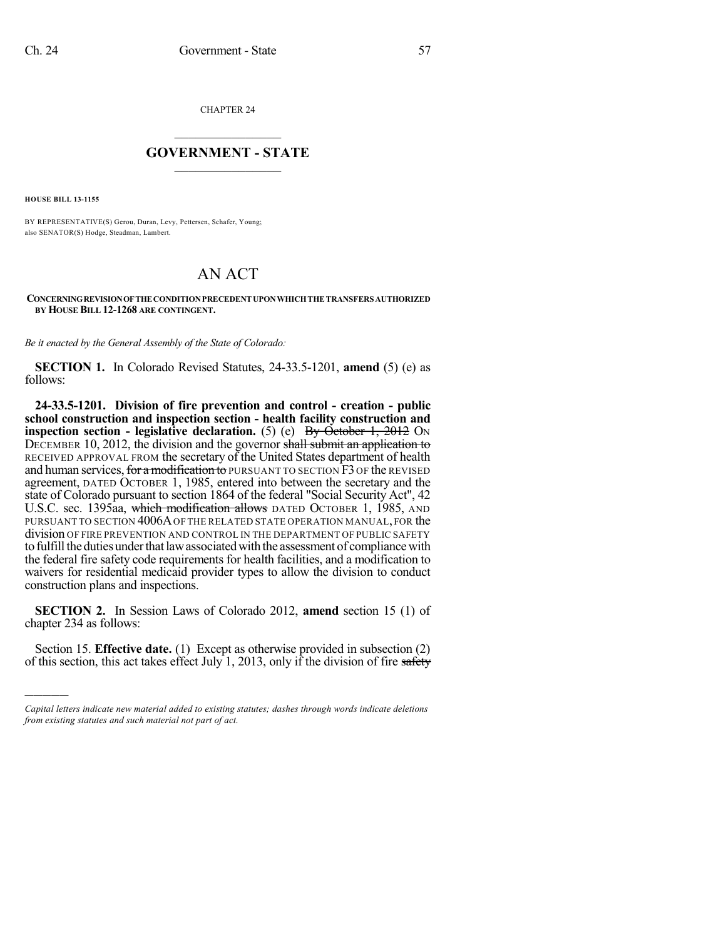CHAPTER 24

## $\mathcal{L}_\text{max}$  . The set of the set of the set of the set of the set of the set of the set of the set of the set of the set of the set of the set of the set of the set of the set of the set of the set of the set of the set **GOVERNMENT - STATE**  $\_$   $\_$   $\_$   $\_$   $\_$   $\_$   $\_$   $\_$   $\_$

**HOUSE BILL 13-1155**

)))))

BY REPRESENTATIVE(S) Gerou, Duran, Levy, Pettersen, Schafer, Young; also SENATOR(S) Hodge, Steadman, Lambert.

## AN ACT

## **CONCERNINGREVISIONOFTHE CONDITIONPRECEDENT UPONWHICHTHE TRANSFERS AUTHORIZED BY HOUSE BILL 12-1268 ARE CONTINGENT.**

*Be it enacted by the General Assembly of the State of Colorado:*

**SECTION 1.** In Colorado Revised Statutes, 24-33.5-1201, **amend** (5) (e) as follows:

**24-33.5-1201. Division of fire prevention and control - creation - public school construction and inspection section - health facility construction and inspection section - legislative declaration.** (5) (e) By October 1, 2012 ON DECEMBER 10, 2012, the division and the governor shall submit an application to RECEIVED APPROVAL FROM the secretary of the United States department of health and human services, for a modification to PURSUANT TO SECTION  $\overline{F}3$  OF the REVISED agreement, DATED OCTOBER 1, 1985, entered into between the secretary and the state of Colorado pursuant to section 1864 of the federal "Social Security Act", 42 U.S.C. sec. 1395aa, which modification allows DATED OCTOBER 1, 1985, AND PURSUANT TO SECTION 4006A OF THE RELATED STATE OPERATION MANUAL, FOR the division OF FIRE PREVENTION AND CONTROL IN THE DEPARTMENT OF PUBLIC SAFETY to fulfill the duties under that law associated with the assessment of compliance with the federal fire safety code requirements for health facilities, and a modification to waivers for residential medicaid provider types to allow the division to conduct construction plans and inspections.

**SECTION 2.** In Session Laws of Colorado 2012, **amend** section 15 (1) of chapter 234 as follows:

Section 15. **Effective date.** (1) Except as otherwise provided in subsection (2) of this section, this act takes effect July 1, 2013, only if the division of fire safety

*Capital letters indicate new material added to existing statutes; dashes through words indicate deletions from existing statutes and such material not part of act.*